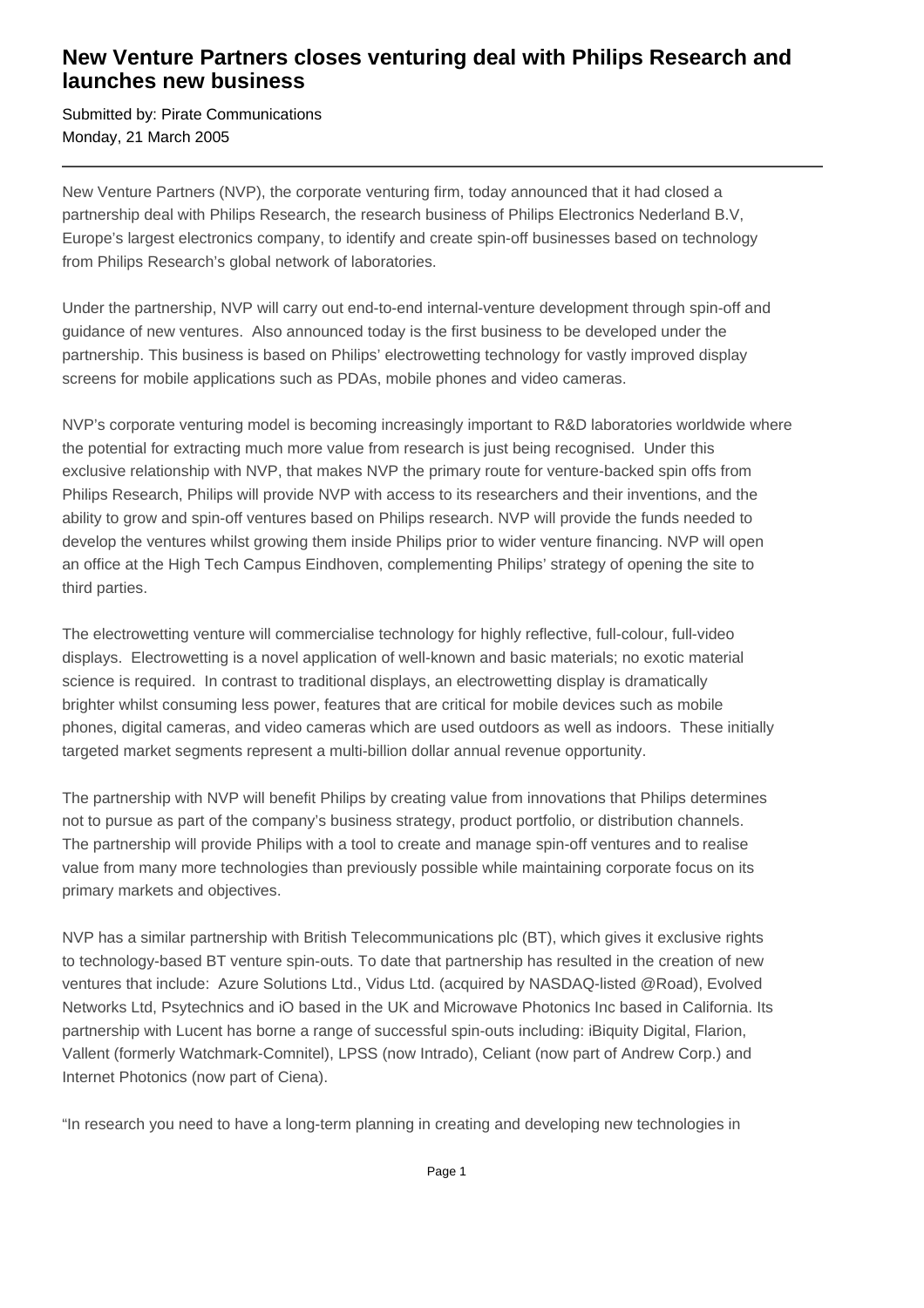## **New Venture Partners closes venturing deal with Philips Research and launches new business**

Submitted by: Pirate Communications Monday, 21 March 2005

New Venture Partners (NVP), the corporate venturing firm, today announced that it had closed a partnership deal with Philips Research, the research business of Philips Electronics Nederland B.V, Europe's largest electronics company, to identify and create spin-off businesses based on technology from Philips Research's global network of laboratories.

Under the partnership, NVP will carry out end-to-end internal-venture development through spin-off and guidance of new ventures. Also announced today is the first business to be developed under the partnership. This business is based on Philips' electrowetting technology for vastly improved display screens for mobile applications such as PDAs, mobile phones and video cameras.

NVP's corporate venturing model is becoming increasingly important to R&D laboratories worldwide where the potential for extracting much more value from research is just being recognised. Under this exclusive relationship with NVP, that makes NVP the primary route for venture-backed spin offs from Philips Research, Philips will provide NVP with access to its researchers and their inventions, and the ability to grow and spin-off ventures based on Philips research. NVP will provide the funds needed to develop the ventures whilst growing them inside Philips prior to wider venture financing. NVP will open an office at the High Tech Campus Eindhoven, complementing Philips' strategy of opening the site to third parties.

The electrowetting venture will commercialise technology for highly reflective, full-colour, full-video displays. Electrowetting is a novel application of well-known and basic materials; no exotic material science is required. In contrast to traditional displays, an electrowetting display is dramatically brighter whilst consuming less power, features that are critical for mobile devices such as mobile phones, digital cameras, and video cameras which are used outdoors as well as indoors. These initially targeted market segments represent a multi-billion dollar annual revenue opportunity.

The partnership with NVP will benefit Philips by creating value from innovations that Philips determines not to pursue as part of the company's business strategy, product portfolio, or distribution channels. The partnership will provide Philips with a tool to create and manage spin-off ventures and to realise value from many more technologies than previously possible while maintaining corporate focus on its primary markets and objectives.

NVP has a similar partnership with British Telecommunications plc (BT), which gives it exclusive rights to technology-based BT venture spin-outs. To date that partnership has resulted in the creation of new ventures that include: Azure Solutions Ltd., Vidus Ltd. (acquired by NASDAQ-listed @Road), Evolved Networks Ltd, Psytechnics and iO based in the UK and Microwave Photonics Inc based in California. Its partnership with Lucent has borne a range of successful spin-outs including: iBiquity Digital, Flarion, Vallent (formerly Watchmark-Comnitel), LPSS (now Intrado), Celiant (now part of Andrew Corp.) and Internet Photonics (now part of Ciena).

"In research you need to have a long-term planning in creating and developing new technologies in